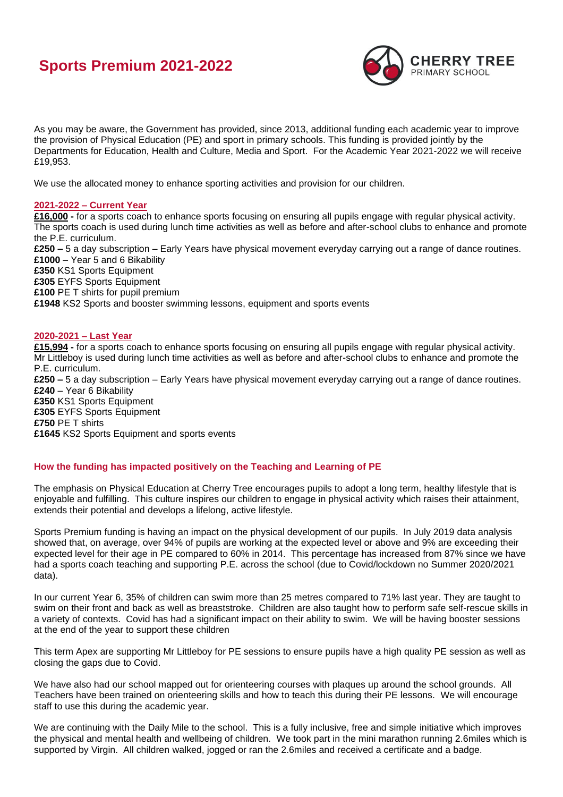# **Sports Premium 2021-2022**



As you may be aware, the Government has provided, since 2013, additional funding each academic year to improve the provision of Physical Education (PE) and sport in primary schools. This funding is provided jointly by the Departments for Education, Health and Culture, Media and Sport. For the Academic Year 2021-2022 we will receive £19,953.

We use the allocated money to enhance sporting activities and provision for our children.

## **2021-2022 – Current Year**

**£16,000 -** for a sports coach to enhance sports focusing on ensuring all pupils engage with regular physical activity. The sports coach is used during lunch time activities as well as before and after-school clubs to enhance and promote the P.E. curriculum. **£250 –** 5 a day subscription – Early Years have physical movement everyday carrying out a range of dance routines. **£1000** – Year 5 and 6 Bikability **£350** KS1 Sports Equipment **£305** EYFS Sports Equipment **£100** PE T shirts for pupil premium **£1948** KS2 Sports and booster swimming lessons, equipment and sports events

## **2020-2021 – Last Year**

**£15,994 -** for a sports coach to enhance sports focusing on ensuring all pupils engage with regular physical activity. Mr Littleboy is used during lunch time activities as well as before and after-school clubs to enhance and promote the P.E. curriculum. **£250 –** 5 a day subscription – Early Years have physical movement everyday carrying out a range of dance routines. **£240** – Year 6 Bikability **£350** KS1 Sports Equipment **£305** EYFS Sports Equipment **£750** PE T shirts **£1645** KS2 Sports Equipment and sports events

# **How the funding has impacted positively on the Teaching and Learning of PE**

The emphasis on Physical Education at Cherry Tree encourages pupils to adopt a long term, healthy lifestyle that is enjoyable and fulfilling. This culture inspires our children to engage in physical activity which raises their attainment, extends their potential and develops a lifelong, active lifestyle.

Sports Premium funding is having an impact on the physical development of our pupils. In July 2019 data analysis showed that, on average, over 94% of pupils are working at the expected level or above and 9% are exceeding their expected level for their age in PE compared to 60% in 2014. This percentage has increased from 87% since we have had a sports coach teaching and supporting P.E. across the school (due to Covid/lockdown no Summer 2020/2021 data).

In our current Year 6, 35% of children can swim more than 25 metres compared to 71% last year. They are taught to swim on their front and back as well as breaststroke. Children are also taught how to perform safe self-rescue skills in a variety of contexts. Covid has had a significant impact on their ability to swim. We will be having booster sessions at the end of the year to support these children

This term Apex are supporting Mr Littleboy for PE sessions to ensure pupils have a high quality PE session as well as closing the gaps due to Covid.

We have also had our school mapped out for orienteering courses with plaques up around the school grounds. All Teachers have been trained on orienteering skills and how to teach this during their PE lessons. We will encourage staff to use this during the academic year.

We are continuing with the Daily Mile to the school. This is a fully inclusive, free and simple initiative which improves the physical and mental health and wellbeing of children. We took part in the mini marathon running 2.6miles which is supported by Virgin. All children walked, jogged or ran the 2.6miles and received a certificate and a badge.